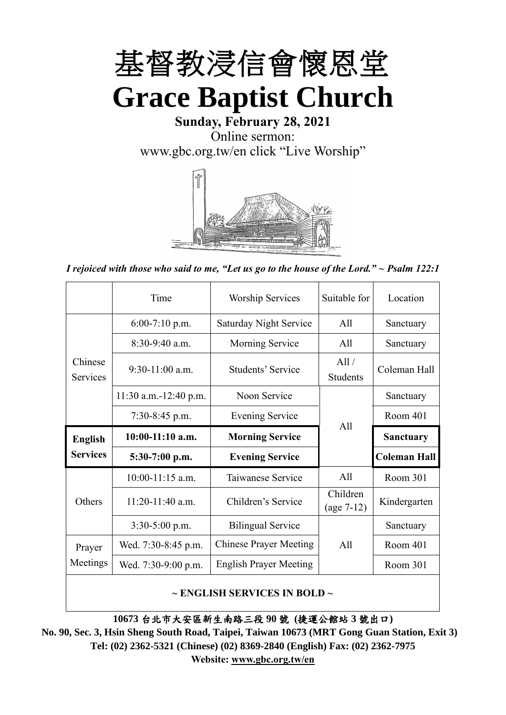

**Sunday, February 28, 2021** Online sermon: [www.gbc.org.tw/en](http://www.gbc.org.tw/en) click "Live Worship"



*I rejoiced with those who said to me, "Let us go to the house of the Lord." ~ Psalm 122:1*

|                            | Time                  | Suitable for<br><b>Worship Services</b> |                          | Location            |
|----------------------------|-----------------------|-----------------------------------------|--------------------------|---------------------|
|                            | $6:00-7:10$ p.m.      | <b>Saturday Night Service</b>           | All                      | Sanctuary           |
|                            | $8:30-9:40$ a.m.      | <b>Morning Service</b>                  | All                      | Sanctuary           |
| Chinese<br><b>Services</b> | $9:30-11:00$ a.m.     | <b>Students' Service</b>                | All /<br><b>Students</b> | Coleman Hall        |
|                            | 11:30 a.m.-12:40 p.m. | Noon Service                            |                          | Sanctuary           |
|                            | $7:30-8:45$ p.m.      | <b>Evening Service</b>                  | All                      | Room 401            |
|                            |                       |                                         |                          |                     |
| <b>English</b>             | $10:00-11:10$ a.m.    | <b>Morning Service</b>                  |                          | <b>Sanctuary</b>    |
| <b>Services</b>            | $5:30-7:00$ p.m.      | <b>Evening Service</b>                  |                          | <b>Coleman Hall</b> |
|                            | $10:00-11:15$ a.m.    | Taiwanese Service                       | All                      | Room 301            |
| Others                     | $11:20-11:40$ a.m.    | Children's Service                      | Children<br>$(age 7-12)$ | Kindergarten        |
|                            | $3:30-5:00$ p.m.      | <b>Bilingual Service</b>                |                          | Sanctuary           |
| Prayer                     | Wed. 7:30-8:45 p.m.   | <b>Chinese Prayer Meeting</b>           | A11                      | Room 401            |
| Meetings                   | Wed. 7:30-9:00 p.m.   | <b>English Prayer Meeting</b>           |                          | Room 301            |

#### **~ ENGLISH SERVICES IN BOLD ~**

**10673** 台北市大安區新生南路三段 **90** 號 **(**捷運公館站 **3** 號出口**)**

**No. 90, Sec. 3, Hsin Sheng South Road, Taipei, Taiwan 10673 (MRT Gong Guan Station, Exit 3) Tel: (02) 2362-5321 (Chinese) (02) 8369-2840 (English) Fax: (02) 2362-7975 Website: [www.gbc.org.tw/en](http://www.gbc.org.tw/en)**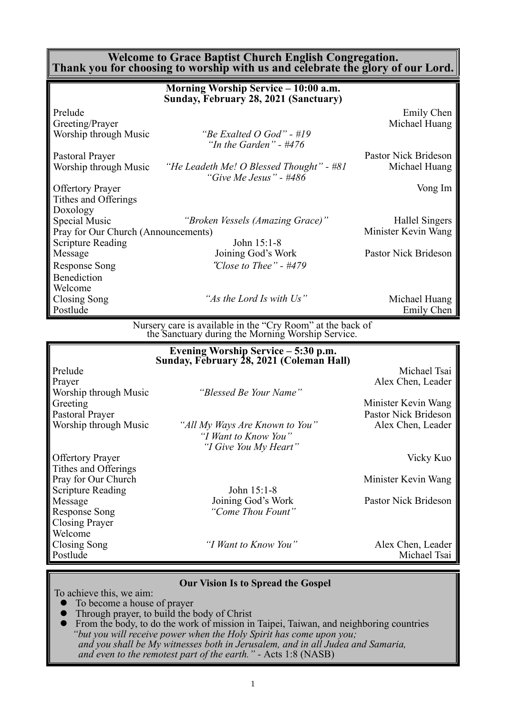#### **Welcome to Grace Baptist Church English Congregation. Thank you for choosing to worship with us and celebrate the glory of our Lord.**

|                                     | Morning Worship Service – 10:00 a.m.<br>Sunday, February 28, 2021 (Sanctuary) |                      |
|-------------------------------------|-------------------------------------------------------------------------------|----------------------|
| Prelude                             |                                                                               | Emily Chen           |
| Greeting/Prayer                     |                                                                               | Michael Huang        |
| Worship through Music               | "Be Exalted O God" - #19<br>"In the Garden" - $\#476$                         |                      |
| Pastoral Prayer                     |                                                                               | Pastor Nick Brideson |
| Worship through Music               | "He Leadeth Me! O Blessed Thought" - #81<br>"Give Me Jesus" - $\#486$         | Michael Huang        |
| <b>Offertory Prayer</b>             |                                                                               | Vong Im              |
| Tithes and Offerings                |                                                                               |                      |
| Doxology                            |                                                                               |                      |
| Special Music                       | "Broken Vessels (Amazing Grace)"                                              | Hallel Singers       |
| Pray for Our Church (Announcements) |                                                                               | Minister Kevin Wang  |
| <b>Scripture Reading</b>            | John 15:1-8                                                                   |                      |
| Message                             | Joining God's Work                                                            | Pastor Nick Brideson |
| Response Song                       | "Close to Thee" - #479                                                        |                      |
| <b>Benediction</b>                  |                                                                               |                      |
| Welcome                             |                                                                               |                      |
| Closing Song                        | "As the Lord Is with Us"                                                      | Michael Huang        |
| Postlude                            |                                                                               | Emily Chen           |

Nursery care is available in the "Cry Room" at the back of the Sanctuary during the Morning Worship Service.

|                          | Evening Worship Service - 5:30 p.m.<br>Sunday, February 28, 2021 (Coleman Hall) |                      |
|--------------------------|---------------------------------------------------------------------------------|----------------------|
| Prelude                  |                                                                                 | Michael Tsai         |
| Prayer                   |                                                                                 | Alex Chen, Leader    |
| Worship through Music    | "Blessed Be Your Name"                                                          |                      |
| Greeting                 |                                                                                 | Minister Kevin Wang  |
| Pastoral Prayer          |                                                                                 | Pastor Nick Brideson |
| Worship through Music    | "All My Ways Are Known to You"                                                  | Alex Chen, Leader    |
|                          | "I Want to Know You"                                                            |                      |
|                          | "I Give You My Heart"                                                           |                      |
| <b>Offertory Prayer</b>  |                                                                                 | Vicky Kuo            |
| Tithes and Offerings     |                                                                                 |                      |
| Pray for Our Church      |                                                                                 | Minister Kevin Wang  |
| <b>Scripture Reading</b> | John 15:1-8                                                                     |                      |
| Message                  | Joining God's Work                                                              | Pastor Nick Brideson |
| Response Song            | "Come Thou Fount"                                                               |                      |
| <b>Closing Prayer</b>    |                                                                                 |                      |
| Welcome                  |                                                                                 |                      |
| Closing Song             | "I Want to Know You"                                                            | Alex Chen, Leader    |
| Postlude                 |                                                                                 | Michael Tsai         |

#### **Our Vision Is to Spread the Gospel**

To achieve this, we aim:

- ⚫ To become a house of prayer
- ⚫ Through prayer, to build the body of Christ
- ⚫ From the body, to do the work of mission in Taipei, Taiwan, and neighboring countries *"but you will receive power when the Holy Spirit has come upon you; and you shall be My witnesses both in Jerusalem, and in all Judea and Samaria, and even to the remotest part of the earth." -* Acts 1:8 (NASB)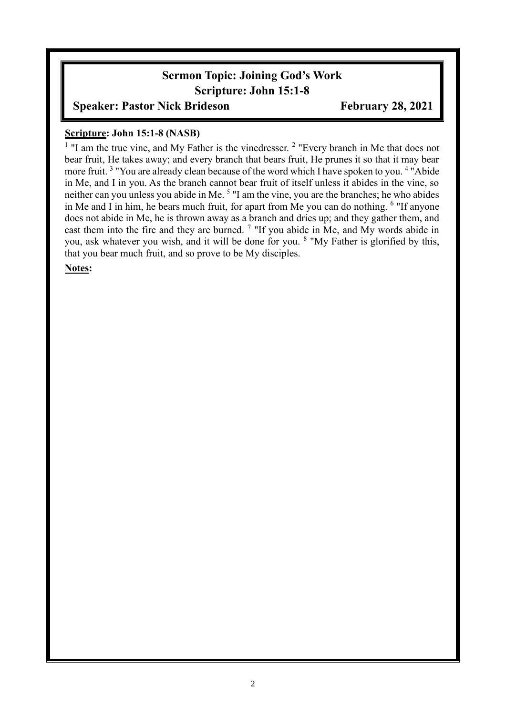# **Sermon Topic: Joining God's Work Scripture: John 15:1-8**

### **Speaker: Pastor Nick Brideson February 28, 2021**

#### **Scripture: John 15:1-8 (NASB)**

<sup>1</sup> "I am the true vine, and My Father is the vinedresser.<sup>2</sup> "Every branch in Me that does not bear fruit, He takes away; and every branch that bears fruit, He prunes it so that it may bear more fruit.<sup>3</sup> "You are already clean because of the word which I have spoken to you.<sup>4</sup> "Abide" in Me, and I in you. As the branch cannot bear fruit of itself unless it abides in the vine, so neither can you unless you abide in Me.<sup>5</sup> "I am the vine, you are the branches; he who abides in Me and I in him, he bears much fruit, for apart from Me you can do nothing. <sup>6</sup> "If anyone does not abide in Me, he is thrown away as a branch and dries up; and they gather them, and cast them into the fire and they are burned.  $7$  "If you abide in Me, and My words abide in you, ask whatever you wish, and it will be done for you. <sup>8</sup> "My Father is glorified by this, that you bear much fruit, and so prove to be My disciples.

### **Notes:**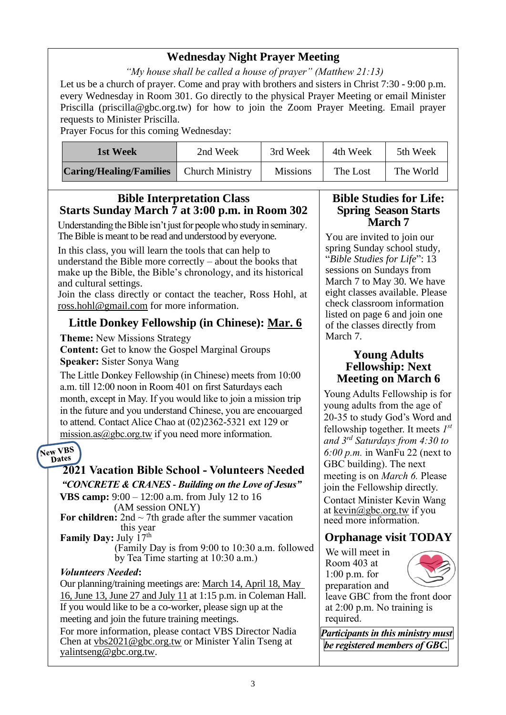# **Wednesday Night Prayer Meeting**

*"My house shall be called a house of prayer" (Matthew 21:13)*

Let us be a church of prayer. Come and pray with brothers and sisters in Christ 7:30 - 9:00 p.m. every Wednesday in Room 301. Go directly to the physical Prayer Meeting or email Minister Priscilla (priscilla@gbc.org.tw) for how to join the Zoom Prayer Meeting. Email prayer requests to Minister Priscilla.

Prayer Focus for this coming Wednesday:

| 1st Week                       | 2nd Week               | 3rd Week        | 4th Week | 5th Week  |
|--------------------------------|------------------------|-----------------|----------|-----------|
| <b>Caring/Healing/Families</b> | <b>Church Ministry</b> | <b>Missions</b> | The Lost | The World |

### **Bible Interpretation Class Starts Sunday March 7 at 3:00 p.m. in Room 302**

Understanding the Bible isn't just for people who study in seminary. The Bible is meant to be read and understood by everyone.

In this class, you will learn the tools that can help to understand the Bible more correctly – about the books that make up the Bible, the Bible's chronology, and its historical and cultural settings.

Join the class directly or contact the teacher, Ross Hohl, at [ross.hohl@gmail.com](mailto:ross.hohl@gmail.com) for more information.

# **Little Donkey Fellowship (in Chinese): Mar. 6**

**Theme:** New Missions Strategy

**Content:** Get to know the Gospel Marginal Groups **Speaker:** Sister Sonya Wang

The Little Donkey Fellowship (in Chinese) meets from 10:00 a.m. till 12:00 noon in Room 401 on first Saturdays each month, except in May. If you would like to join a mission trip in the future and you understand Chinese, you are encouarged to attend. Contact Alice Chao at (02)2362-5321 ext 129 or mission.as $(a)$ gbc.org.tw if you need more information.

#### New VBS Dates

### **2021 Vacation Bible School - Volunteers Needed** *"CONCRETE & CRANES - Building on the Love of Jesus"*

**VBS camp:** 9:00 – 12:00 a.m. from July 12 to 16 (AM session ONLY)

For children:  $2nd \sim 7th$  grade after the summer vacation this year **Family Day:** July 17<sup>th</sup>

(Family Day is from 9:00 to 10:30 a.m. followed by Tea Time starting at 10:30 a.m.)

### *Volunteers Needed***:**

Our planning/training meetings are: March 14, April 18, May 16, June 13, June 27 and July 11 at 1:15 p.m. in Coleman Hall. If you would like to be a co-worker, please sign up at the meeting and join the future training meetings.

For more information, please contact VBS Director Nadia Chen at [vbs2021@gbc.org.tw](mailto:vbs2021@gbc.org.tw) or Minister Yalin Tseng at yalintseng@gbc.org.tw.

#### **Bible Studies for Life: Spring Season Starts March 7**

You are invited to join our spring Sunday school study, "*Bible Studies for Life*": 13 sessions on Sundays from March 7 to May 30. We have eight classes available. Please check classroom information listed on page 6 and join one of the classes directly from March 7.

### **Young Adults Fellowship: Next Meeting on March 6**

Young Adults Fellowship is for young adults from the age of 20-35 to study God's Word and fellowship together. It meets *1 st and 3rd Saturdays from 4:30 to 6:00 p.m.* in WanFu 22 (next to GBC building). The next meeting is on *March 6.* Please join the Fellowship directly. Contact Minister Kevin Wang at kevin@gbc.org.tw if you need more information.

# **Orphanage visit TODAY**

We will meet in Room 403 at 1:00 p.m. for preparation and



leave GBC from the front door at 2:00 p.m. No training is required.

*Participants in this ministry must be registered members of GBC.*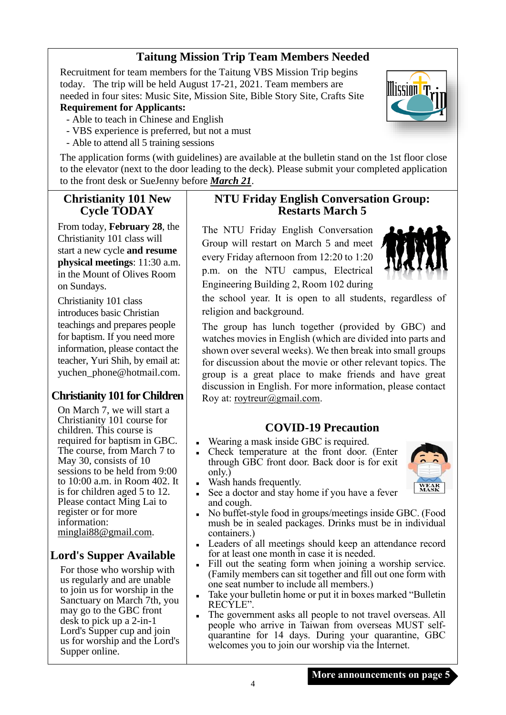# **Taitung Mission Trip Team Members Needed**

Recruitment for team members for the Taitung VBS Mission Trip begins today. The trip will be held August 17-21, 2021. Team members are needed in four sites: Music Site, Mission Site, Bible Story Site, Crafts Site

#### **Requirement for Applicants:**

- Able to teach in Chinese and English
- VBS experience is preferred, but not a must
- Able to attend all 5 training sessions

The application forms (with guidelines) are available at the bulletin stand on the 1st floor close to the elevator (next to the door leading to the deck). Please submit your completed application to the front desk or SueJenny before *March 21*.

### **Christianity 101 New Cycle TODAY**

From today, **February 28**, the Christianity 101 class will start a new cycle **and resume physical meetings**: 11:30 a.m. in the Mount of Olives Room on Sundays.

Christianity 101 class introduces basic Christian teachings and prepares people for baptism. If you need more information, please contact the teacher, Yuri Shih, by email at: [yuchen\\_phone@hotmail.com.](mailto:yuchen_phone@hotmail.com)

### **Christianity 101 for Children**

On March 7, we will start a Christianity 101 course for children. This course is required for baptism in GBC. The course, from March 7 to May 30, consists of 10 sessions to be held from 9:00 to 10:00 a.m. in Room 402. It is for children aged 5 to 12. Please contact Ming Lai to register or for more information: [minglai88@gmail.com.](mailto:minglai88@gmail.com)

# **Lord's Supper Available**

For those who worship with us regularly and are unable to join us for worship in the Sanctuary on March 7th, you may go to the GBC front desk to pick up a 2-in-1 Lord's Supper cup and join us for worship and the Lord's Supper online.

### **NTU Friday English Conversation Group: Restarts March 5**

The NTU Friday English Conversation Group will restart on March 5 and meet every Friday afternoon from 12:20 to 1:20 p.m. on the NTU campus, Electrical Engineering Building 2, Room 102 during



lissinn <mark>'</mark> T

the school year. It is open to all students, regardless of religion and background.

The group has lunch together (provided by GBC) and watches movies in English (which are divided into parts and shown over several weeks). We then break into small groups for discussion about the movie or other relevant topics. The group is a great place to make friends and have great discussion in English. For more information, please contact Roy at: [roytreur@gmail.com.](mailto:roytreur@gmail.com)

# **COVID-19 Precaution**

- Wearing a mask inside GBC is required.
- Check temperature at the front door. (Enter through GBC front door. Back door is for exit only.)
- Wash hands frequently.



- See a doctor and stay home if you have a fever and cough.
- No buffet-style food in groups/meetings inside GBC. (Food mush be in sealed packages. Drinks must be in individual containers.)
- Leaders of all meetings should keep an attendance record for at least one month in case it is needed.
- Fill out the seating form when joining a worship service. (Family members can sit together and fill out one form with one seat number to include all members.)
- Take your bulletin home or put it in boxes marked "Bulletin RECYLE".
- The government asks all people to not travel overseas. All people who arrive in Taiwan from overseas MUST selfquarantine for 14 days. During your quarantine, GBC welcomes you to join our worship via the Internet.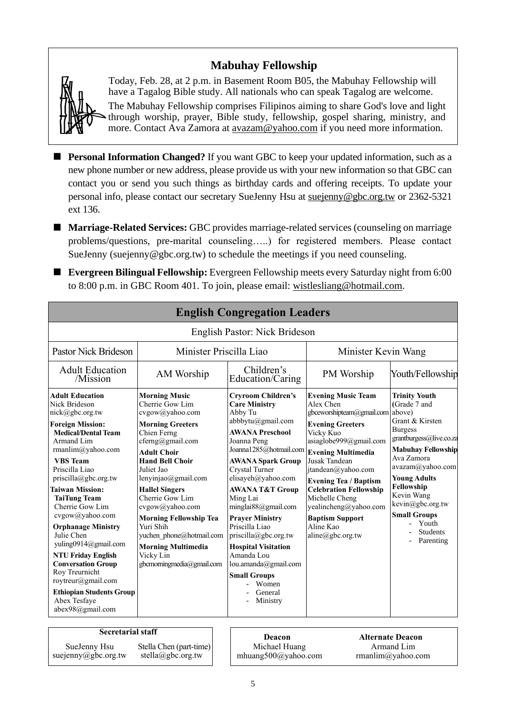# **Mabuhay Fellowship**



Today, Feb. 28, at 2 p.m. in Basement Room B05, the Mabuhay Fellowship will have a Tagalog Bible study. All nationals who can speak Tagalog are welcome. The Mabuhay Fellowship comprises Filipinos aiming to share God's love and light through worship, prayer, Bible study, fellowship, gospel sharing, ministry, and more. Contact Ava Zamora at [avazam@yahoo.com](mailto:avazam@yahoo.com) if you need more information.

- **Personal Information Changed?** If you want GBC to keep your updated information, such as a new phone number or new address, please provide us with your new information so that GBC can contact you or send you such things as birthday cards and offering receipts. To update your personal info, please contact our secretary SueJenny Hsu at [suejenny@gbc.org.tw](mailto:suejenny@gbc.org.tw) or 2362-5321 ext 136.
- **Marriage-Related Services:** GBC provides marriage-related services (counseling on marriage problems/questions, pre-marital counseling…..) for registered members. Please contact SueJenny (suejenny@gbc.org.tw) to schedule the meetings if you need counseling.
- **Evergreen Bilingual Fellowship:** Evergreen Fellowship meets every Saturday night from 6:00 to 8:00 p.m. in GBC Room 401. To join, please email: [wistlesliang@hotmail.com.](mailto:wistlesliang@hotmail.com)

| <b>English Congregation Leaders</b>                                                                                                                                                                                                                                                                                                                                                                                                                                                                                                                    |                                                                                                                                                                                                                                                                                                                                                                                                                               |                                                                                                                                                                                                                                                                                                                                                                                                                                                                                                             |                                                                                                                                                                                                                                                                                                                                                            |                                                                                                                                                                                                                                                                                                            |  |
|--------------------------------------------------------------------------------------------------------------------------------------------------------------------------------------------------------------------------------------------------------------------------------------------------------------------------------------------------------------------------------------------------------------------------------------------------------------------------------------------------------------------------------------------------------|-------------------------------------------------------------------------------------------------------------------------------------------------------------------------------------------------------------------------------------------------------------------------------------------------------------------------------------------------------------------------------------------------------------------------------|-------------------------------------------------------------------------------------------------------------------------------------------------------------------------------------------------------------------------------------------------------------------------------------------------------------------------------------------------------------------------------------------------------------------------------------------------------------------------------------------------------------|------------------------------------------------------------------------------------------------------------------------------------------------------------------------------------------------------------------------------------------------------------------------------------------------------------------------------------------------------------|------------------------------------------------------------------------------------------------------------------------------------------------------------------------------------------------------------------------------------------------------------------------------------------------------------|--|
|                                                                                                                                                                                                                                                                                                                                                                                                                                                                                                                                                        |                                                                                                                                                                                                                                                                                                                                                                                                                               | English Pastor: Nick Brideson                                                                                                                                                                                                                                                                                                                                                                                                                                                                               |                                                                                                                                                                                                                                                                                                                                                            |                                                                                                                                                                                                                                                                                                            |  |
| Minister Priscilla Liao<br><b>Pastor Nick Brideson</b>                                                                                                                                                                                                                                                                                                                                                                                                                                                                                                 |                                                                                                                                                                                                                                                                                                                                                                                                                               |                                                                                                                                                                                                                                                                                                                                                                                                                                                                                                             | Minister Kevin Wang                                                                                                                                                                                                                                                                                                                                        |                                                                                                                                                                                                                                                                                                            |  |
| <b>Adult Education</b><br>/Mission                                                                                                                                                                                                                                                                                                                                                                                                                                                                                                                     | AM Worship                                                                                                                                                                                                                                                                                                                                                                                                                    | Children's<br>Education/Caring                                                                                                                                                                                                                                                                                                                                                                                                                                                                              | PM Worship                                                                                                                                                                                                                                                                                                                                                 | Youth/Fellowship                                                                                                                                                                                                                                                                                           |  |
| <b>Adult Education</b><br>Nick Brideson<br>nick@gbc.org.tw<br><b>Foreign Mission:</b><br><b>Medical/Dental Team</b><br>Armand Lim<br>rmanlim@yahoo.com<br><b>VBS</b> Team<br>Priscilla Liao<br>priscilla@gbc.org.tw<br><b>Taiwan Mission:</b><br><b>TaiTung Team</b><br>Cherrie Gow Lim<br>cvgow@yahoo.com<br><b>Orphanage Ministry</b><br>Julie Chen<br>yuling0914@gmail.com<br><b>NTU Friday English</b><br><b>Conversation Group</b><br>Roy Treurnicht<br>roytreur@gmail.com<br><b>Ethiopian Students Group</b><br>Abex Tesfaye<br>abex98@gmail.com | <b>Morning Music</b><br>Cherrie Gow Lim<br>cvgow@yahoo.com<br><b>Morning Greeters</b><br>Chien Ferng<br>cferng@gmail.com<br><b>Adult Choir</b><br><b>Hand Bell Choir</b><br>Juliet Jao<br>lenyinjao@gmail.com<br><b>Hallel Singers</b><br>Cherrie Gow Lim<br>cvgow@yahoo.com<br><b>Morning Fellowship Tea</b><br>Yuri Shih<br>yuchen phone@hotmail.com<br><b>Morning Multimedia</b><br>Vicky Lin<br>gbcmorningmedia@gmail.com | <b>Cryroom Children's</b><br><b>Care Ministry</b><br>Abby Tu<br>abbbytu@gmail.com<br><b>AWANA Preschool</b><br>Joanna Peng<br>Joanna1285@hotmail.com Evening Multimedia<br><b>AWANA Spark Group</b><br>Crystal Turner<br>elisayeh@yahoo.com<br><b>AWANA T&amp;T Group</b><br>Ming Lai<br>minglai88@gmail.com<br><b>Prayer Ministry</b><br>Priscilla Liao<br>priscilla@gbc.org.tw<br><b>Hospital Visitation</b><br>Amanda Lou<br>lou.amanda@gmail.com<br><b>Small Groups</b><br>Women<br>General<br>Ministry | <b>Evening Music Team</b><br>Alex Chen<br>gbceworshipteam@gmail.com above)<br><b>Evening Greeters</b><br>Vicky Kuo<br>asiaglobe999@gmail.com<br>Jusak Tandean<br>jtandean@yahoo.com<br><b>Evening Tea / Baptism</b><br><b>Celebration Fellowship</b><br>Michelle Cheng<br>yealincheng@yahoo.com<br><b>Baptism Support</b><br>Aline Kao<br>aline@gbc.org.tw | <b>Trinity Youth</b><br>(Grade 7 and<br>Grant & Kirsten<br><b>Burgess</b><br>grantburgess@live.co.za<br><b>Mabuhay Fellowship</b><br>Ava Zamora<br>avazam@yahoo.com<br><b>Young Adults</b><br>Fellowship<br>Kevin Wang<br>kevin@gbc.org.tw<br><b>Small Groups</b><br>Youth<br><b>Students</b><br>Parenting |  |

# **Secretarial staff Deacon**

| SueJenny Hsu        |  |
|---------------------|--|
| suejenny@gbc.org.tw |  |

Stella Chen (part-time) stella@gbc.org.tw

Michael Huang mhuang500@yahoo.com

**Alternate Deacon** Armand Lim rmanlim@yahoo.com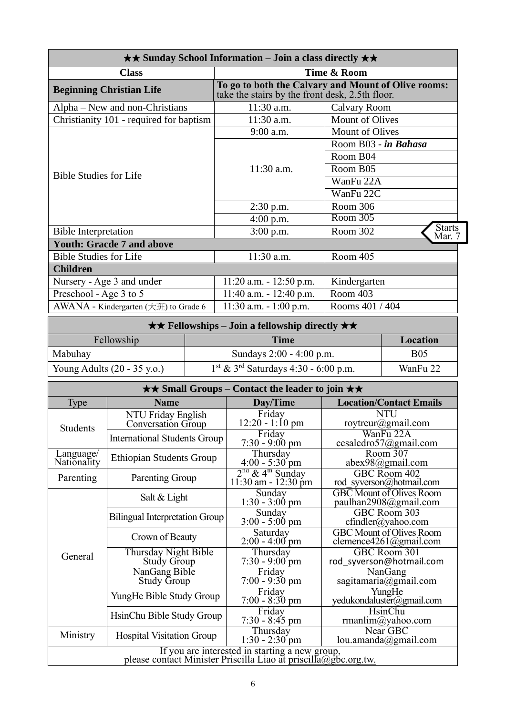| <b>★★ Sunday School Information – Join a class directly ★★</b> |                                                                                                        |                                     |  |  |
|----------------------------------------------------------------|--------------------------------------------------------------------------------------------------------|-------------------------------------|--|--|
| <b>Class</b>                                                   | Time & Room                                                                                            |                                     |  |  |
| <b>Beginning Christian Life</b>                                | To go to both the Calvary and Mount of Olive rooms:<br>take the stairs by the front desk, 2.5th floor. |                                     |  |  |
| Alpha – New and non-Christians                                 | 11:30 a.m.                                                                                             | <b>Calvary Room</b>                 |  |  |
| Christianity 101 - required for baptism                        | 11:30 a.m.                                                                                             | <b>Mount of Olives</b>              |  |  |
|                                                                | 9:00 a.m.                                                                                              | <b>Mount of Olives</b>              |  |  |
|                                                                |                                                                                                        | Room B03 - in Bahasa                |  |  |
|                                                                |                                                                                                        | Room B04                            |  |  |
|                                                                | $11:30$ a.m.                                                                                           | Room B05                            |  |  |
| <b>Bible Studies for Life</b>                                  |                                                                                                        | WanFu 22A                           |  |  |
|                                                                |                                                                                                        | WanFu 22C                           |  |  |
|                                                                | $2:30$ p.m.                                                                                            | Room 306                            |  |  |
|                                                                | $4:00$ p.m.                                                                                            | Room 305                            |  |  |
| <b>Bible Interpretation</b>                                    | $3:00$ p.m.                                                                                            | <b>Starts</b><br>Room 302<br>Mar. 7 |  |  |
| <b>Youth: Gracde 7 and above</b>                               |                                                                                                        |                                     |  |  |
| <b>Bible Studies for Life</b>                                  | $11:30$ a.m.                                                                                           | Room 405                            |  |  |
| <b>Children</b>                                                |                                                                                                        |                                     |  |  |
| Nursery - Age 3 and under                                      | $11:20$ a.m. $-12:50$ p.m.                                                                             | Kindergarten                        |  |  |
| Preschool - Age 3 to 5                                         | $11:40$ a.m. $-12:40$ p.m.                                                                             | Room 403                            |  |  |
| AWANA - Kindergarten $(\pm \text{H})$ to Grade 6               | $11:30$ a.m. $-1:00$ p.m.                                                                              | Rooms 401 / 404                     |  |  |

| $\star \star$ Fellowships – Join a fellowship directly $\star \star$ . |                          |            |  |  |
|------------------------------------------------------------------------|--------------------------|------------|--|--|
| Fellowship<br>Time<br>Location                                         |                          |            |  |  |
| Mabuhay                                                                | Sundays 2:00 - 4:00 p.m. | <b>B05</b> |  |  |
| Young Adults $(20 - 35 \text{ y.o.})$                                  | WanFu 22                 |            |  |  |

| $\star\star$ Small Groups – Contact the leader to join $\star\star$                                               |                                                   |                                                       |                                                           |  |  |
|-------------------------------------------------------------------------------------------------------------------|---------------------------------------------------|-------------------------------------------------------|-----------------------------------------------------------|--|--|
| Type                                                                                                              | <b>Name</b>                                       | Day/Time                                              | <b>Location/Contact Emails</b>                            |  |  |
| <b>Students</b>                                                                                                   | NTU Friday English<br>Conversation Group          | Friday<br>$12:20 - 1:10 \text{ pm}$                   | <b>NTU</b><br>roytreur@gmail.com                          |  |  |
|                                                                                                                   | <b>International Students Group</b>               | Friday<br>$7:30 - 9:00 \text{ pm}$                    | WanFu 22A<br>cesaledro57@gmail.com                        |  |  |
| Language/<br>Nationality                                                                                          | <b>Ethiopian Students Group</b>                   | Thursday<br>$4:00 - 5:30$ pm                          | Room 307<br>$abex98$ @gmail.com                           |  |  |
| Parenting                                                                                                         | Parenting Group                                   | $2nd$ & 4 <sup>th</sup> Sunday<br>11:30 am - 12:30 pm | GBC Room 402<br>rod syverson@hotmail.com                  |  |  |
|                                                                                                                   | Salt & Light                                      | Sunday<br>$1:30 - 3:00$ pm                            | <b>GBC</b> Mount of Olives Room<br>paulhan2908@gmail.com  |  |  |
|                                                                                                                   | <b>Bilingual Interpretation Group</b>             | Sunday<br>$3:00 - 5:00$ pm                            | GBC Room 303<br>$cfindler(a)$ yahoo.com                   |  |  |
|                                                                                                                   | Crown of Beauty                                   | Saturday<br>$2:00 - 4:00$ pm                          | <b>GBC</b> Mount of Olives Room<br>clemence4261@gmail.com |  |  |
| General                                                                                                           | <b>Thursday Night Bible</b><br><b>Study Group</b> | Thursday<br>$7:30 - 9:00$ pm                          | GBC Room 301<br>rod syverson@hotmail.com                  |  |  |
|                                                                                                                   | NanGang Bible<br><b>Study Group</b>               | Friday<br>$7:00 - 9:30$ pm                            | NanGang<br>sagitamaria@gmail.com                          |  |  |
|                                                                                                                   | YungHe Bible Study Group                          | Friday<br>$7:00 - 8:30$ pm                            | YungHe<br>yedukondaluster@gmail.com                       |  |  |
|                                                                                                                   | HsinChu Bible Study Group                         | Friday<br>$7:30 - 8:45$ pm                            | <b>HsinChu</b><br>rmanlim@yahoo.com                       |  |  |
| Ministry                                                                                                          | <b>Hospital Visitation Group</b>                  | Thursday<br>$1:30 - 2:30$ pm                          | Near GBC<br>lou.amanda@gmail.com                          |  |  |
| If you are interested in starting a new group,<br>please contact Minister Priscilla Liao at priscilla@gbc.org.tw. |                                                   |                                                       |                                                           |  |  |